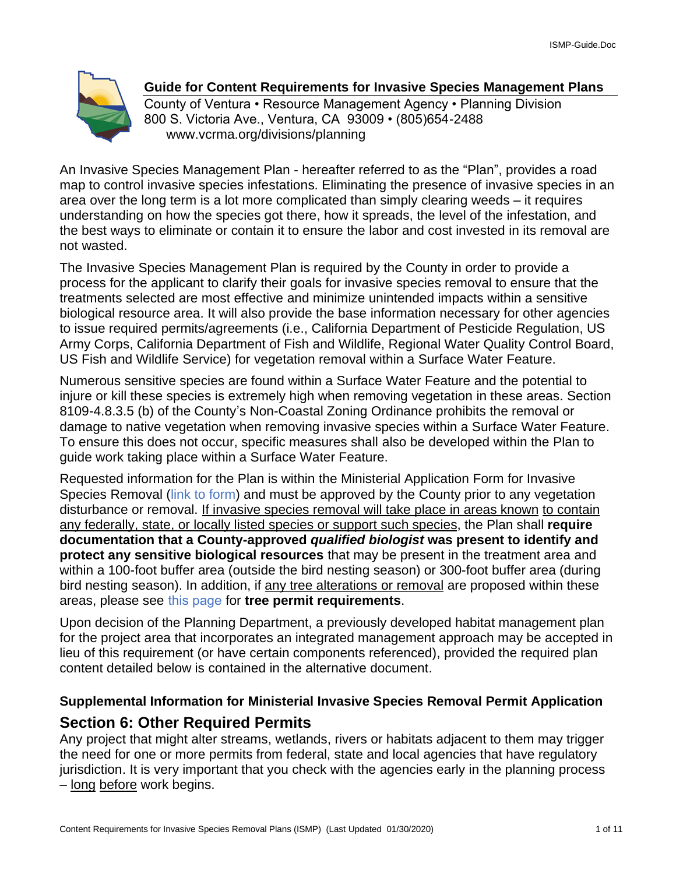

# **Guide for Content Requirements for Invasive Species Management Plans**

County of Ventura • Resource Management Agency • Planning Division 800 S. Victoria Ave., Ventura, CA 93009 • (805)654-2488 www.vcrma.org/divisions/planning

An Invasive Species Management Plan - hereafter referred to as the "Plan", provides a road map to control invasive species infestations. Eliminating the presence of invasive species in an area over the long term is a lot more complicated than simply clearing weeds – it requires understanding on how the species got there, how it spreads, the level of the infestation, and the best ways to eliminate or contain it to ensure the labor and cost invested in its removal are not wasted.

The Invasive Species Management Plan is required by the County in order to provide a process for the applicant to clarify their goals for invasive species removal to ensure that the treatments selected are most effective and minimize unintended impacts within a sensitive biological resource area. It will also provide the base information necessary for other agencies to issue required permits/agreements (i.e., California Department of Pesticide Regulation, US Army Corps, California Department of Fish and Wildlife, Regional Water Quality Control Board, US Fish and Wildlife Service) for vegetation removal within a Surface Water Feature.

Numerous sensitive species are found within a Surface Water Feature and the potential to injure or kill these species is extremely high when removing vegetation in these areas. Section 8109-4.8.3.5 (b) of the County's Non-Coastal Zoning Ordinance prohibits the removal or damage to native vegetation when removing invasive species within a Surface Water Feature. To ensure this does not occur, specific measures shall also be developed within the Plan to guide work taking place within a Surface Water Feature.

Requested information for the Plan is within the Ministerial Application Form for Invasive Species Removal [\(link to form\)](https://docs.vcrma.org/images/pdf/planning/HCWC/Ministerial_IS_Permit_Application.pdf) and must be approved by the County prior to any vegetation disturbance or removal. If invasive species removal will take place in areas known to contain any federally, state, or locally listed species or support such species, the Plan shall **require documentation that a County-approved** *qualified biologist* **was present to identify and protect any sensitive biological resources** that may be present in the treatment area and within a 100-foot buffer area (outside the bird nesting season) or 300-foot buffer area (during bird nesting season). In addition, if any tree alterations or removal are proposed within these areas, please see [this page](https://www.vcrma.org/tree-permits-and-the-tree-protection-ordinance) for **tree permit requirements**.

Upon decision of the Planning Department, a previously developed habitat management plan for the project area that incorporates an integrated management approach may be accepted in lieu of this requirement (or have certain components referenced), provided the required plan content detailed below is contained in the alternative document.

# **Supplemental Information for Ministerial Invasive Species Removal Permit Application Section 6: Other Required Permits**

Any project that might alter streams, wetlands, rivers or habitats adjacent to them may trigger the need for one or more permits from federal, state and local agencies that have regulatory jurisdiction. It is very important that you check with the agencies early in the planning process – long before work begins.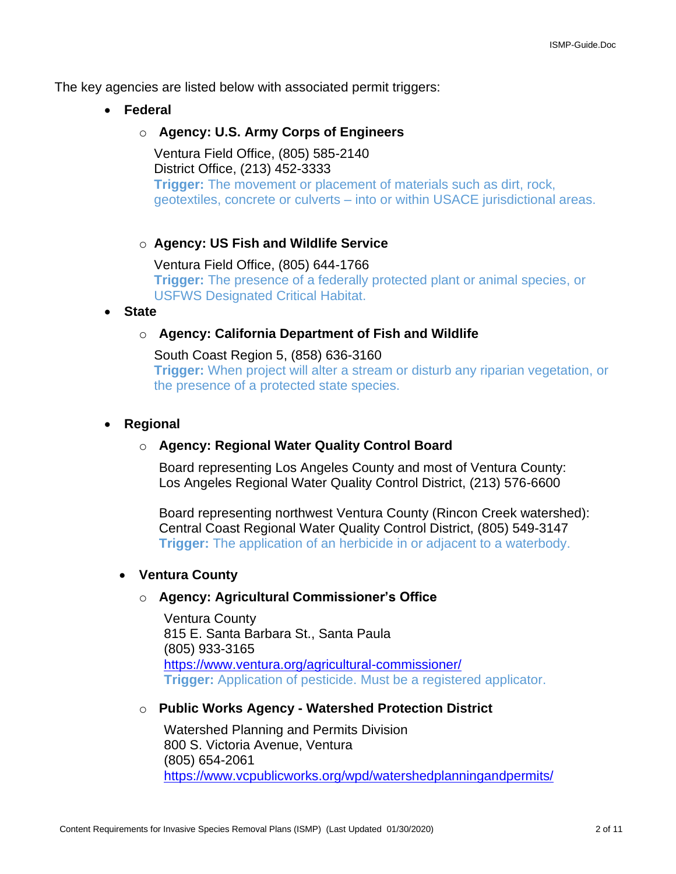The key agencies are listed below with associated permit triggers:

• **Federal**

# o **Agency: U.S. Army Corps of Engineers**

Ventura Field Office, (805) 585-2140 District Office, (213) 452-3333 **Trigger:** The movement or placement of materials such as dirt, rock, geotextiles, concrete or culverts – into or within USACE jurisdictional areas.

### o **Agency: US Fish and Wildlife Service**

Ventura Field Office, (805) 644-1766 **Trigger:** The presence of a federally protected plant or animal species, or USFWS Designated Critical Habitat.

### • **State**

# o **Agency: California Department of Fish and Wildlife**

South Coast Region 5, (858) 636-3160 **Trigger:** When project will alter a stream or disturb any riparian vegetation, or the presence of a protected state species.

### • **Regional**

### o **Agency: Regional Water Quality Control Board**

Board representing Los Angeles County and most of Ventura County: Los Angeles Regional Water Quality Control District, (213) 576-6600

Board representing northwest Ventura County (Rincon Creek watershed): Central Coast Regional Water Quality Control District, (805) 549-3147 **Trigger:** The application of an herbicide in or adjacent to a waterbody.

# • **Ventura County**

### o **Agency: Agricultural Commissioner's Office**

Ventura County 815 E. Santa Barbara St., Santa Paula (805) 933-3165 <https://www.ventura.org/agricultural-commissioner/> **Trigger:** Application of pesticide. Must be a registered applicator.

### o **Public Works Agency - Watershed Protection District**

Watershed Planning and Permits Division 800 S. Victoria Avenue, Ventura (805) 654-2061 <https://www.vcpublicworks.org/wpd/watershedplanningandpermits/>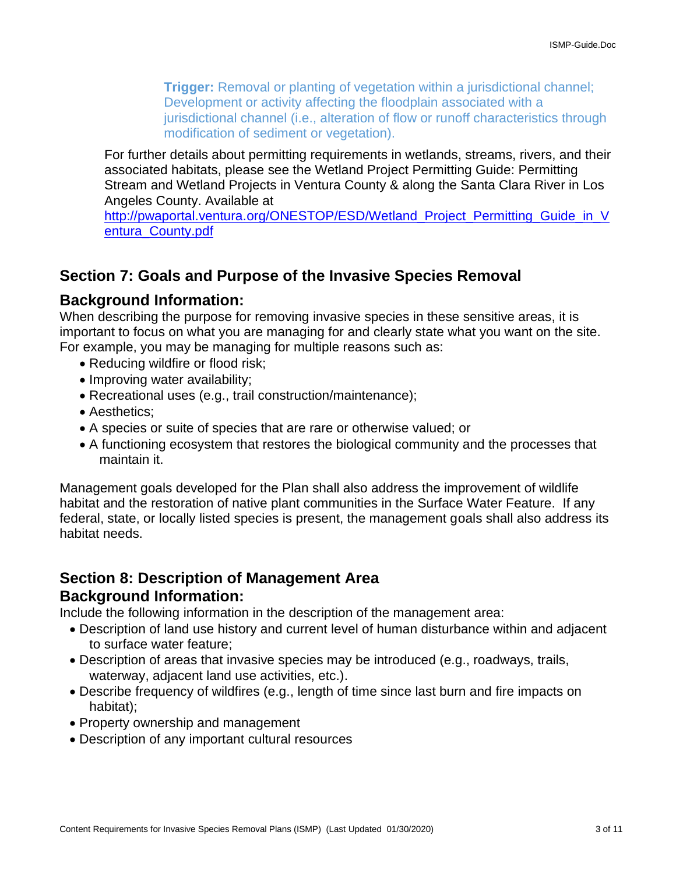**Trigger:** Removal or planting of vegetation within a jurisdictional channel; Development or activity affecting the floodplain associated with a jurisdictional channel (i.e., alteration of flow or runoff characteristics through modification of sediment or vegetation).

For further details about permitting requirements in wetlands, streams, rivers, and their associated habitats, please see the Wetland Project Permitting Guide: Permitting Stream and Wetland Projects in Ventura County & along the Santa Clara River in Los Angeles County. Available at

http://pwaportal.ventura.org/ONESTOP/ESD/Wetland Project Permitting Guide in V [entura\\_County.pdf](http://pwaportal.ventura.org/ONESTOP/ESD/Wetland_Project_Permitting_Guide_in_Ventura_County.pdf)

# **Section 7: Goals and Purpose of the Invasive Species Removal**

# **Background Information:**

When describing the purpose for removing invasive species in these sensitive areas, it is important to focus on what you are managing for and clearly state what you want on the site. For example, you may be managing for multiple reasons such as:

- Reducing wildfire or flood risk;
- Improving water availability;
- Recreational uses (e.g., trail construction/maintenance);
- Aesthetics;
- A species or suite of species that are rare or otherwise valued; or
- A functioning ecosystem that restores the biological community and the processes that maintain it.

Management goals developed for the Plan shall also address the improvement of wildlife habitat and the restoration of native plant communities in the Surface Water Feature. If any federal, state, or locally listed species is present, the management goals shall also address its habitat needs.

# **Section 8: Description of Management Area**

# **Background Information:**

Include the following information in the description of the management area:

- Description of land use history and current level of human disturbance within and adjacent to surface water feature;
- Description of areas that invasive species may be introduced (e.g., roadways, trails, waterway, adjacent land use activities, etc.).
- Describe frequency of wildfires (e.g., length of time since last burn and fire impacts on habitat);
- Property ownership and management
- Description of any important cultural resources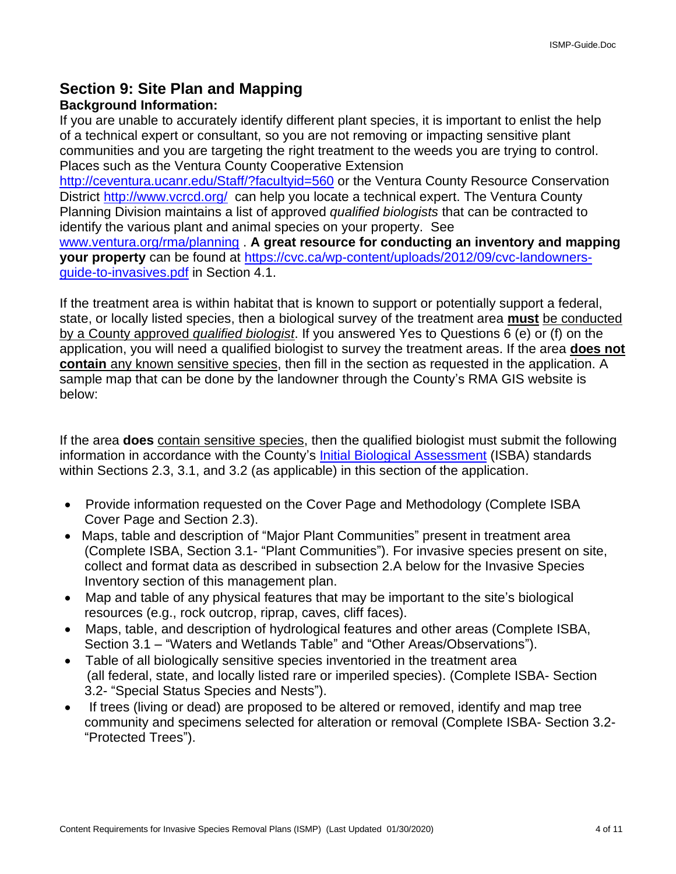# **Section 9: Site Plan and Mapping**

# **Background Information:**

If you are unable to accurately identify different plant species, it is important to enlist the help of a technical expert or consultant, so you are not removing or impacting sensitive plant communities and you are targeting the right treatment to the weeds you are trying to control. Places such as the Ventura County Cooperative Extension

<http://ceventura.ucanr.edu/Staff/?facultyid=560> or the Ventura County Resource Conservation District<http://www.vcrcd.org/> can help you locate a technical expert. The Ventura County Planning Division maintains a list of approved *qualified biologists* that can be contracted to identify the various plant and animal species on your property. See

[www.ventura.org/rma/planning](http://www.ventura.org/rma/planning) . **A great resource for conducting an inventory and mapping your property** can be found at [https://cvc.ca/wp-content/uploads/2012/09/cvc-landowners](https://cvc.ca/wp-content/uploads/2012/09/cvc-landowners-guide-to-invasives.pdf)[guide-to-invasives.pdf](https://cvc.ca/wp-content/uploads/2012/09/cvc-landowners-guide-to-invasives.pdf) in Section 4.1.

If the treatment area is within habitat that is known to support or potentially support a federal, state, or locally listed species, then a biological survey of the treatment area **must** be conducted by a County approved *qualified biologist*. If you answered Yes to Questions 6 (e) or (f) on the application, you will need a qualified biologist to survey the treatment areas. If the area **does not contain** any known sensitive species, then fill in the section as requested in the application. A sample map that can be done by the landowner through the County's RMA GIS website is below:

If the area **does** contain sensitive species, then the qualified biologist must submit the following information in accordance with the County's [Initial Biological Assessment](http://docs.vcrma.org/images/pdf/planning/conservation/Standards-for-IS-Bio-Assess-10-9-12.doc) (ISBA) standards within Sections 2.3, 3.1, and 3.2 (as applicable) in this section of the application.

- Provide information requested on the Cover Page and Methodology (Complete ISBA Cover Page and Section 2.3).
- Maps, table and description of "Major Plant Communities" present in treatment area (Complete ISBA, Section 3.1- "Plant Communities"). For invasive species present on site, collect and format data as described in subsection 2.A below for the Invasive Species Inventory section of this management plan.
- Map and table of any physical features that may be important to the site's biological resources (e.g., rock outcrop, riprap, caves, cliff faces).
- Maps, table, and description of hydrological features and other areas (Complete ISBA, Section 3.1 – "Waters and Wetlands Table" and "Other Areas/Observations").
- Table of all biologically sensitive species inventoried in the treatment area (all federal, state, and locally listed rare or imperiled species). (Complete ISBA- Section 3.2- "Special Status Species and Nests").
- If trees (living or dead) are proposed to be altered or removed, identify and map tree community and specimens selected for alteration or removal (Complete ISBA- Section 3.2- "Protected Trees").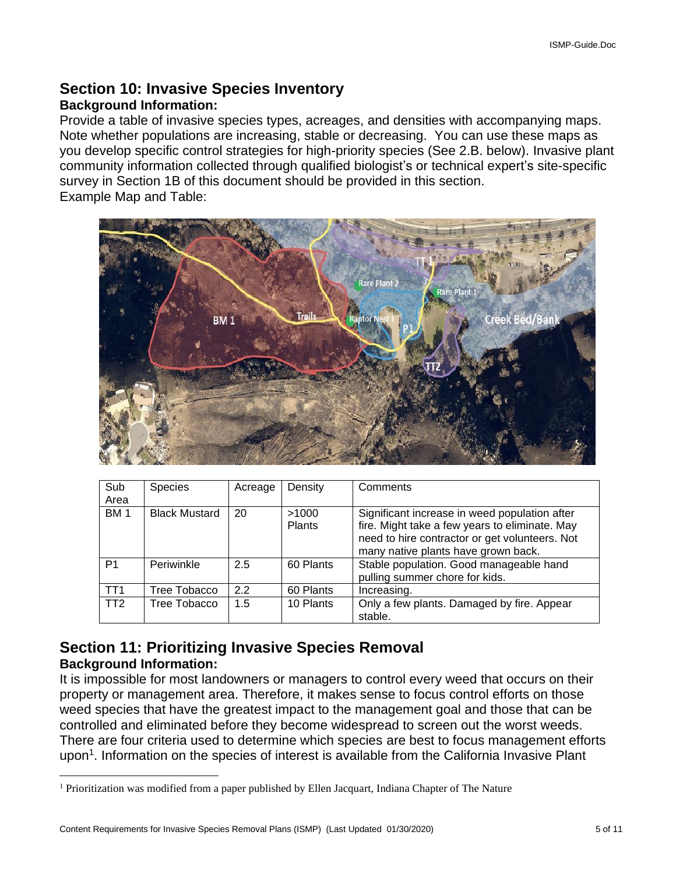# **Section 10: Invasive Species Inventory**

# **Background Information:**

Provide a table of invasive species types, acreages, and densities with accompanying maps. Note whether populations are increasing, stable or decreasing. You can use these maps as you develop specific control strategies for high-priority species (See 2.B. below). Invasive plant community information collected through qualified biologist's or technical expert's site-specific survey in Section 1B of this document should be provided in this section. Example Map and Table:



| Sub<br>Area     | <b>Species</b>       | Acreage | Density                | Comments                                                                                                                                                                                 |
|-----------------|----------------------|---------|------------------------|------------------------------------------------------------------------------------------------------------------------------------------------------------------------------------------|
| <b>BM1</b>      | <b>Black Mustard</b> | 20      | >1000<br><b>Plants</b> | Significant increase in weed population after<br>fire. Might take a few years to eliminate. May<br>need to hire contractor or get volunteers. Not<br>many native plants have grown back. |
| P <sub>1</sub>  | Periwinkle           | 2.5     | 60 Plants              | Stable population. Good manageable hand<br>pulling summer chore for kids.                                                                                                                |
| TT <sub>1</sub> | Tree Tobacco         | 2.2     | 60 Plants              | Increasing.                                                                                                                                                                              |
| TT <sub>2</sub> | Tree Tobacco         | 1.5     | 10 Plants              | Only a few plants. Damaged by fire. Appear<br>stable.                                                                                                                                    |

# **Section 11: Prioritizing Invasive Species Removal Background Information:**

It is impossible for most landowners or managers to control every weed that occurs on their property or management area. Therefore, it makes sense to focus control efforts on those weed species that have the greatest impact to the management goal and those that can be controlled and eliminated before they become widespread to screen out the worst weeds. There are four criteria used to determine which species are best to focus management efforts upon<sup>1</sup>. Information on the species of interest is available from the California Invasive Plant

<sup>1</sup> Prioritization was modified from a paper published by Ellen Jacquart, Indiana Chapter of The Nature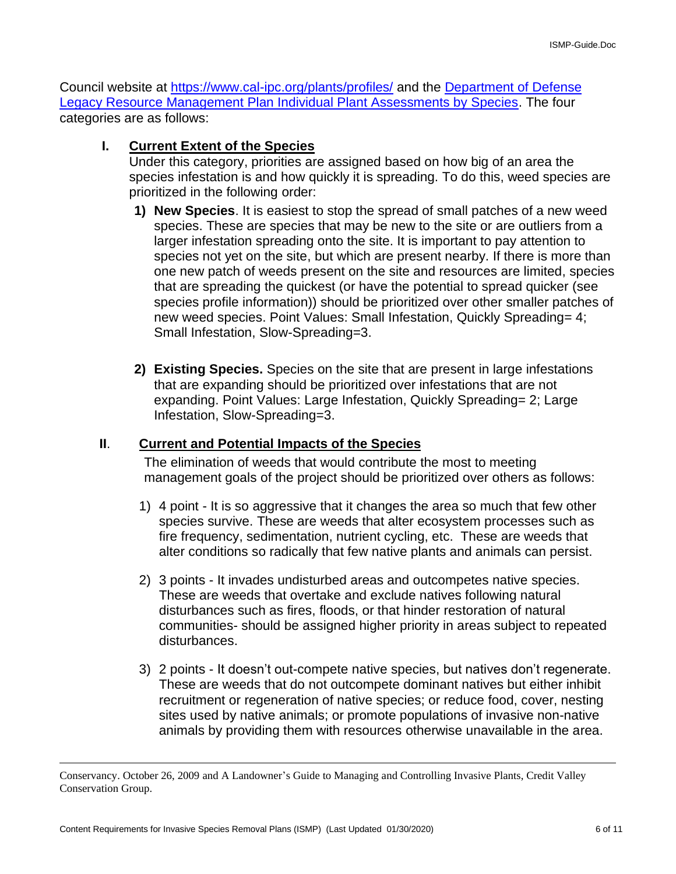Council website at<https://www.cal-ipc.org/plants/profiles/> and the [Department of Defense](https://www.denix.osd.mil/nr/otherconservationtopics/invasivespecies/manuals/development-of-a-categorized-list-of-invasive-non-native-plants-that-threaten-wildlands-in-arizona-individual-plant-assessments-by-species-vol-2-hordeum-murinum-to-vinca-major/)  [Legacy Resource Management Plan Individual Plant Assessments by Species.](https://www.denix.osd.mil/nr/otherconservationtopics/invasivespecies/manuals/development-of-a-categorized-list-of-invasive-non-native-plants-that-threaten-wildlands-in-arizona-individual-plant-assessments-by-species-vol-2-hordeum-murinum-to-vinca-major/) The four categories are as follows:

### **I. Current Extent of the Species**

Under this category, priorities are assigned based on how big of an area the species infestation is and how quickly it is spreading. To do this, weed species are prioritized in the following order:

- **1) New Species**. It is easiest to stop the spread of small patches of a new weed species. These are species that may be new to the site or are outliers from a larger infestation spreading onto the site. It is important to pay attention to species not yet on the site, but which are present nearby. If there is more than one new patch of weeds present on the site and resources are limited, species that are spreading the quickest (or have the potential to spread quicker (see species profile information)) should be prioritized over other smaller patches of new weed species. Point Values: Small Infestation, Quickly Spreading= 4; Small Infestation, Slow-Spreading=3.
- **2) Existing Species.** Species on the site that are present in large infestations that are expanding should be prioritized over infestations that are not expanding. Point Values: Large Infestation, Quickly Spreading= 2; Large Infestation, Slow-Spreading=3.

### **II**. **Current and Potential Impacts of the Species**

The elimination of weeds that would contribute the most to meeting management goals of the project should be prioritized over others as follows:

- 1) 4 point It is so aggressive that it changes the area so much that few other species survive. These are weeds that alter ecosystem processes such as fire frequency, sedimentation, nutrient cycling, etc. These are weeds that alter conditions so radically that few native plants and animals can persist.
- 2) 3 points It invades undisturbed areas and outcompetes native species. These are weeds that overtake and exclude natives following natural disturbances such as fires, floods, or that hinder restoration of natural communities- should be assigned higher priority in areas subject to repeated disturbances.
- 3) 2 points It doesn't out-compete native species, but natives don't regenerate. These are weeds that do not outcompete dominant natives but either inhibit recruitment or regeneration of native species; or reduce food, cover, nesting sites used by native animals; or promote populations of invasive non-native animals by providing them with resources otherwise unavailable in the area.

Conservancy. October 26, 2009 and A Landowner's Guide to Managing and Controlling Invasive Plants, Credit Valley Conservation Group.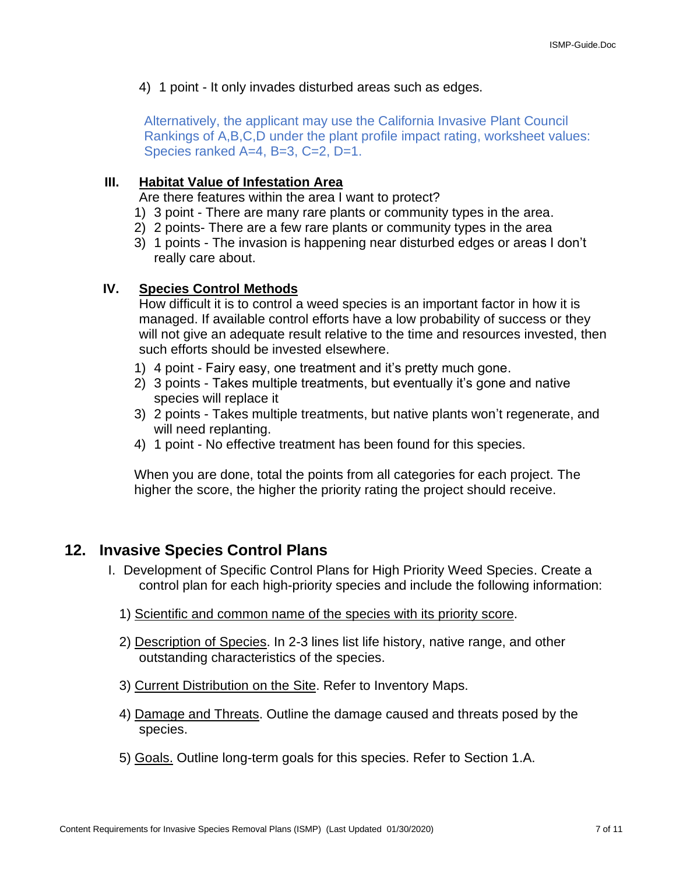4) 1 point - It only invades disturbed areas such as edges.

Alternatively, the applicant may use the California Invasive Plant Council Rankings of A,B,C,D under the plant profile impact rating, worksheet values: Species ranked A=4, B=3, C=2, D=1.

# **III. Habitat Value of Infestation Area**

Are there features within the area I want to protect?

- 1) 3 point There are many rare plants or community types in the area.
- 2) 2 points- There are a few rare plants or community types in the area
- 3) 1 points The invasion is happening near disturbed edges or areas I don't really care about.

### **IV. Species Control Methods**

How difficult it is to control a weed species is an important factor in how it is managed. If available control efforts have a low probability of success or they will not give an adequate result relative to the time and resources invested, then such efforts should be invested elsewhere.

- 1) 4 point Fairy easy, one treatment and it's pretty much gone.
- 2) 3 points Takes multiple treatments, but eventually it's gone and native species will replace it
- 3) 2 points Takes multiple treatments, but native plants won't regenerate, and will need replanting.
- 4) 1 point No effective treatment has been found for this species.

When you are done, total the points from all categories for each project. The higher the score, the higher the priority rating the project should receive.

# **12. Invasive Species Control Plans**

- I. Development of Specific Control Plans for High Priority Weed Species. Create a control plan for each high-priority species and include the following information:
	- 1) Scientific and common name of the species with its priority score.
	- 2) Description of Species. In 2-3 lines list life history, native range, and other outstanding characteristics of the species.
	- 3) Current Distribution on the Site. Refer to Inventory Maps.
	- 4) Damage and Threats. Outline the damage caused and threats posed by the species.
	- 5) Goals. Outline long-term goals for this species. Refer to Section 1.A.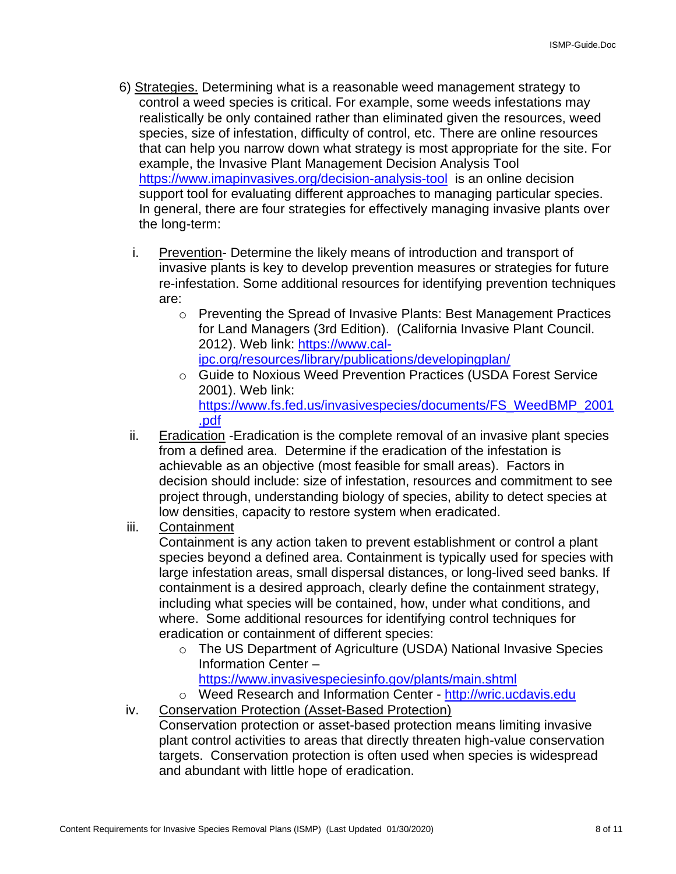- 6) Strategies. Determining what is a reasonable weed management strategy to control a weed species is critical. For example, some weeds infestations may realistically be only contained rather than eliminated given the resources, weed species, size of infestation, difficulty of control, etc. There are online resources that can help you narrow down what strategy is most appropriate for the site. For example, the Invasive Plant Management Decision Analysis Tool <https://www.imapinvasives.org/decision-analysis-tool> is an online decision support tool for evaluating different approaches to managing particular species. In general, there are four strategies for effectively managing invasive plants over the long-term:
	- i. Prevention- Determine the likely means of introduction and transport of invasive plants is key to develop prevention measures or strategies for future re-infestation. Some additional resources for identifying prevention techniques are:
		- o Preventing the Spread of Invasive Plants: Best Management Practices for Land Managers (3rd Edition). (California Invasive Plant Council. 2012). Web link: [https://www.cal](https://www.cal-ipc.org/resources/library/publications/developingplan/)[ipc.org/resources/library/publications/developingplan/](https://www.cal-ipc.org/resources/library/publications/developingplan/)
		- o Guide to Noxious Weed Prevention Practices (USDA Forest Service 2001). Web link: [https://www.fs.fed.us/invasivespecies/documents/FS\\_WeedBMP\\_2001](https://www.fs.fed.us/invasivespecies/documents/FS_WeedBMP_2001.pdf) [.pdf](https://www.fs.fed.us/invasivespecies/documents/FS_WeedBMP_2001.pdf)
	- ii. Eradication -Eradication is the complete removal of an invasive plant species from a defined area. Determine if the eradication of the infestation is achievable as an objective (most feasible for small areas). Factors in decision should include: size of infestation, resources and commitment to see project through, understanding biology of species, ability to detect species at low densities, capacity to restore system when eradicated.
	- iii. Containment

Containment is any action taken to prevent establishment or control a plant species beyond a defined area. Containment is typically used for species with large infestation areas, small dispersal distances, or long-lived seed banks. If containment is a desired approach, clearly define the containment strategy, including what species will be contained, how, under what conditions, and where. Some additional resources for identifying control techniques for eradication or containment of different species:

- o The US Department of Agriculture (USDA) National Invasive Species Information Center –
	- <https://www.invasivespeciesinfo.gov/plants/main.shtml>

o Weed Research and Information Center - [http://wric.ucdavis.edu](http://wric.ucdavis.edu/)

iv. Conservation Protection (Asset-Based Protection) Conservation protection or asset-based protection means limiting invasive plant control activities to areas that directly threaten high-value conservation targets. Conservation protection is often used when species is widespread and abundant with little hope of eradication.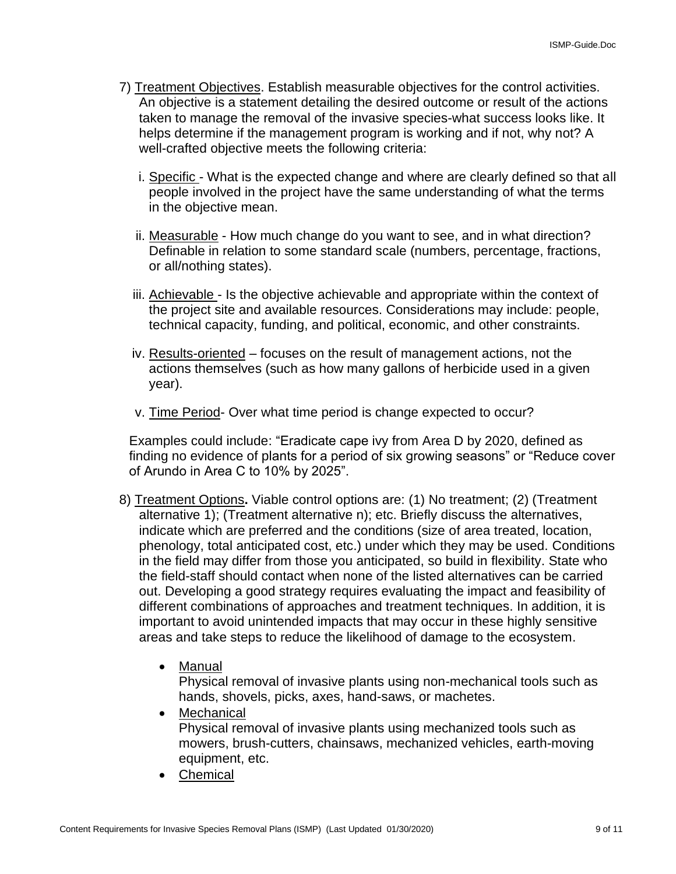- 7) Treatment Objectives. Establish measurable objectives for the control activities. An objective is a statement detailing the desired outcome or result of the actions taken to manage the removal of the invasive species-what success looks like. It helps determine if the management program is working and if not, why not? A well-crafted objective meets the following criteria:
	- i. Specific What is the expected change and where are clearly defined so that all people involved in the project have the same understanding of what the terms in the objective mean.
	- ii. Measurable How much change do you want to see, and in what direction? Definable in relation to some standard scale (numbers, percentage, fractions, or all/nothing states).
	- iii. Achievable Is the objective achievable and appropriate within the context of the project site and available resources. Considerations may include: people, technical capacity, funding, and political, economic, and other constraints.
	- iv. Results-oriented focuses on the result of management actions, not the actions themselves (such as how many gallons of herbicide used in a given year).
	- v. Time Period- Over what time period is change expected to occur?

Examples could include: "Eradicate cape ivy from Area D by 2020, defined as finding no evidence of plants for a period of six growing seasons" or "Reduce cover of Arundo in Area C to 10% by 2025".

- 8) Treatment Options**.** Viable control options are: (1) No treatment; (2) (Treatment alternative 1); (Treatment alternative n); etc. Briefly discuss the alternatives, indicate which are preferred and the conditions (size of area treated, location, phenology, total anticipated cost, etc.) under which they may be used. Conditions in the field may differ from those you anticipated, so build in flexibility. State who the field-staff should contact when none of the listed alternatives can be carried out. Developing a good strategy requires evaluating the impact and feasibility of different combinations of approaches and treatment techniques. In addition, it is important to avoid unintended impacts that may occur in these highly sensitive areas and take steps to reduce the likelihood of damage to the ecosystem.
	- Manual

Physical removal of invasive plants using non-mechanical tools such as hands, shovels, picks, axes, hand-saws, or machetes.

• Mechanical

Physical removal of invasive plants using mechanized tools such as mowers, brush-cutters, chainsaws, mechanized vehicles, earth-moving equipment, etc.

• Chemical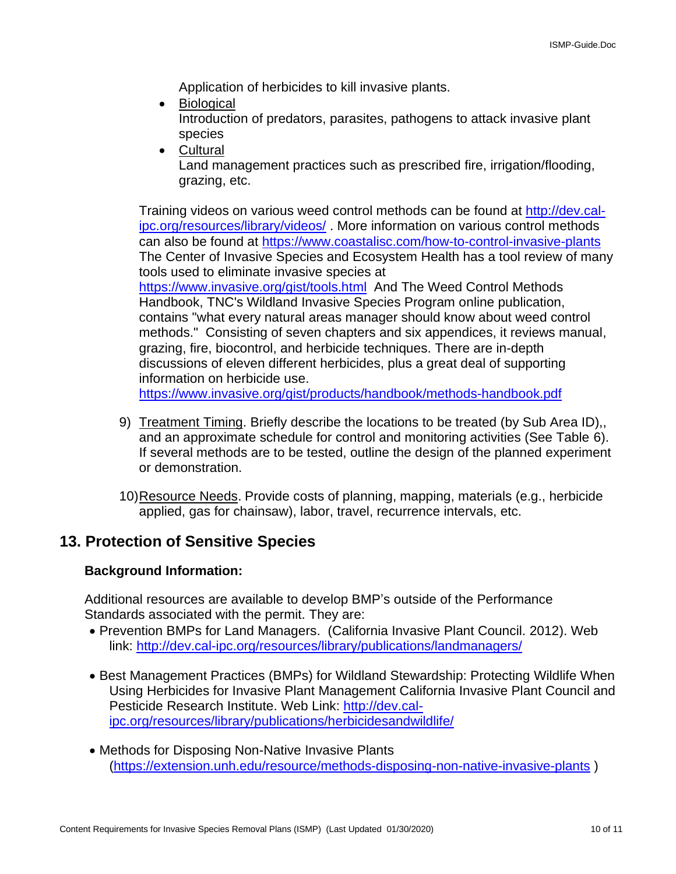Application of herbicides to kill invasive plants.

- Biological Introduction of predators, parasites, pathogens to attack invasive plant species
- Cultural

Land management practices such as prescribed fire, irrigation/flooding, grazing, etc.

Training videos on various weed control methods can be found at [http://dev.cal](http://dev.cal-ipc.org/resources/library/videos/)[ipc.org/resources/library/videos/](http://dev.cal-ipc.org/resources/library/videos/) . More information on various control methods can also be found at<https://www.coastalisc.com/how-to-control-invasive-plants> The Center of Invasive Species and Ecosystem Health has a tool review of many tools used to eliminate invasive species at <https://www.invasive.org/gist/tools.html> And The Weed Control Methods Handbook, TNC's Wildland Invasive Species Program online publication, contains "what every natural areas manager should know about weed control methods." Consisting of seven chapters and six appendices, it reviews manual, grazing, fire, biocontrol, and herbicide techniques. There are in-depth discussions of eleven different herbicides, plus a great deal of supporting information on herbicide use. <https://www.invasive.org/gist/products/handbook/methods-handbook.pdf>

- 9) Treatment Timing. Briefly describe the locations to be treated (by Sub Area ID),, and an approximate schedule for control and monitoring activities (See Table 6). If several methods are to be tested, outline the design of the planned experiment or demonstration.
- 10)Resource Needs. Provide costs of planning, mapping, materials (e.g., herbicide applied, gas for chainsaw), labor, travel, recurrence intervals, etc.

# **13. Protection of Sensitive Species**

# **Background Information:**

Additional resources are available to develop BMP's outside of the Performance Standards associated with the permit. They are:

- Prevention BMPs for Land Managers. (California Invasive Plant Council. 2012). Web link:<http://dev.cal-ipc.org/resources/library/publications/landmanagers/>
- Best Management Practices (BMPs) for Wildland Stewardship: Protecting Wildlife When Using Herbicides for Invasive Plant Management California Invasive Plant Council and Pesticide Research Institute. Web Link: [http://dev.cal](http://dev.cal-ipc.org/resources/library/publications/herbicidesandwildlife/)[ipc.org/resources/library/publications/herbicidesandwildlife/](http://dev.cal-ipc.org/resources/library/publications/herbicidesandwildlife/)
- Methods for Disposing Non-Native Invasive Plants [\(https://extension.unh.edu/resource/methods-disposing-non-native-invasive-plants](https://extension.unh.edu/resource/methods-disposing-non-native-invasive-plants) )